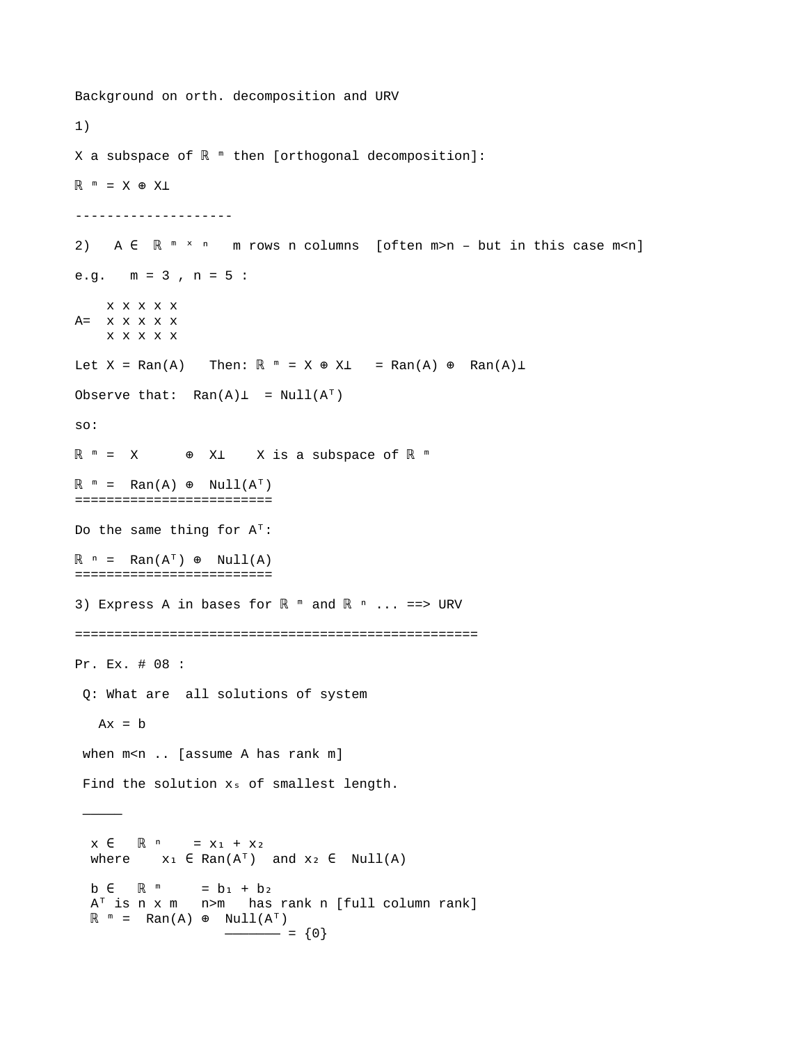Background on orth. decomposition and URV 1) X a subspace of  $\mathbb{R}$  <sup>™</sup> then [orthogonal decomposition]:  $\mathbb{R}$   $m = X \oplus X \perp$ -------------------- 2) A ∈ R <sup>m x n</sup> m rows n columns [often m>n – but in this case m<n] e.g. m = 3 , n = 5 : x x x x x  $A=$   $x x x x x x$  x x x x x Let  $X = Ran(A)$  Then:  $\mathbb{R}^m = X \oplus X \perp = Ran(A) \oplus Ran(A) \perp$ Observe that:  $\text{Ran}(A) \perp = \text{Null}(A^{\top})$ so:  $\mathbb{R}$   $\mathbb{R}$   $=$   $X$   $\mathbb{R}$   $\mathbb{R}$   $\mathbb{R}$   $\mathbb{R}$   $\mathbb{R}$   $\mathbb{R}$   $\mathbb{R}$   $\mathbb{R}$   $\mathbb{R}$   $\mathbb{R}$   $\mathbb{R}$   $\mathbb{R}$   $\mathbb{R}$   $\mathbb{R}$   $\mathbb{R}$   $\mathbb{R}$   $\mathbb{R}$   $\mathbb{R}$   $\mathbb{R}$   $\mathbb{R}$   $\mathbb{R}$   $\mathbb{R$  $\mathbb{R}^m = \text{Ran}(A) \oplus \text{Null}(A^T)$ ========================= Do the same thing for  $A^T$ :  $\mathbb{R}$   $\circ$  = Ran(A<sup>T</sup>)  $\circ$  Null(A) ========================= 3) Express A in bases for  $\mathbb{R}$  m and  $\mathbb{R}$  m ... ==> URV =================================================== Pr. Ex. # 08 : Q: What are all solutions of system  $Ax = b$ when m<n .. [assume A has rank m] Find the solution  $x_s$  of smallest length. ————  $x \in \mathbb{R}^n = x_1 + x_2$ where  $x_1 \in Ran(A^T)$  and  $x_2 \in Null(A)$  $b \in \mathbb{R}$  <sup>m</sup> =  $b_1 + b_2$  $A^T$  is n x m  $n>m$  has rank n [full column rank]  $\mathbb{R}$  " = Ran(A)  $\oplus$  Null(A<sup>T</sup>)  $- = \{0\}$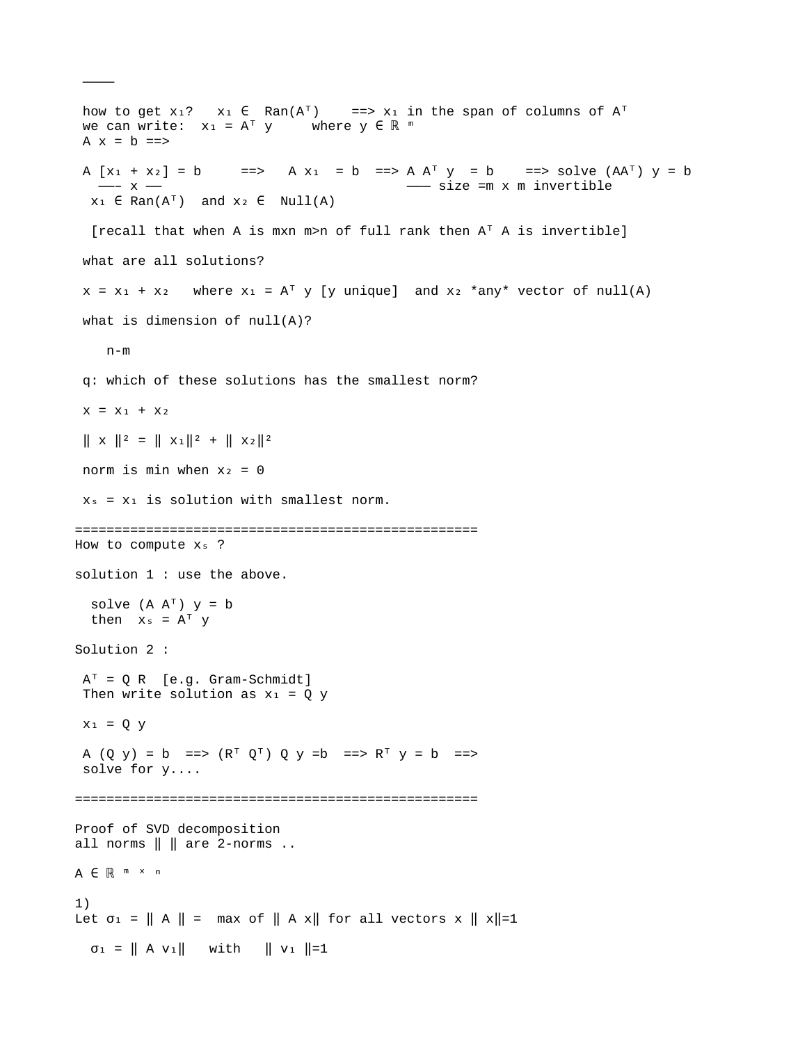how to get  $x_1$ ?  $x_1 \in Ran(A^T)$  ==>  $x_1$  in the span of columns of  $A^T$ we can write:  $x_1 = A^T y$  where  $y \in \mathbb{R}^m$ A  $x = b ==$ A  $[x_1 + x_2] = b$  ==> A  $x_1 = b$  ==> A  $A^T y = b$  ==> solve  $(AA^T) y = b$  ——– x —— ——— size =m x m invertible  $x_1 \in Ran(A^T)$  and  $x_2 \in Null(A)$ [recall that when A is mxn m>n of full rank then  $A<sup>T</sup>$  A is invertible] what are all solutions?  $x = x_1 + x_2$  where  $x_1 = A^T y$  [y unique] and  $x_2$  \*any\* vector of null(A) what is dimension of null(A)?  $n-m$  q: which of these solutions has the smallest norm?  $X = X_1 + X_2$  $\| \times \|^{2} = \| \times_{1} \|^{2} + \| \times_{2} \|^{2}$ norm is min when  $x_2 = 0$  $x_s = x_1$  is solution with smallest norm. =================================================== How to compute  $x_s$  ? solution 1 : use the above. solve  $(A \ A^T)$  y = b then  $x_s = A^T y$ Solution 2 :  $A^T = Q R$  [e.g. Gram-Schmidt] Then write solution as  $x_1 = Q$  y  $x_1 = Q y$ A  $(Q \ y) = b \implies (R^T \ Q^T) \ Q \ y = b \implies R^T \ y = b \implies$  solve for y.... =================================================== Proof of SVD decomposition all norms  $\parallel \parallel$  are 2-norms .. A ∈ ℝ <sup>™</sup> <sup>×</sup> <sup>n</sup> 1) Let  $\sigma_1 = ||A|| = \max \sigma f ||A \times ||$  for all vectors  $x ||x|| =1$  $\sigma_1 = || A v_1 ||$  with  $|| v_1 ||=1$ 

————